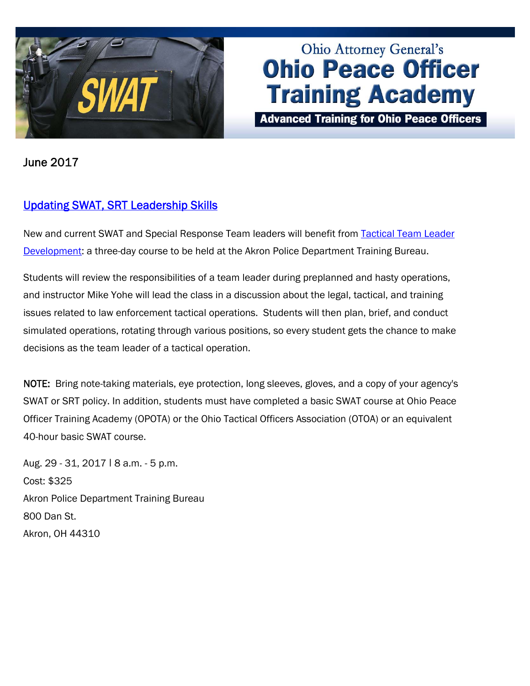

# Ohio Attorney General's **Ohio Peace Officer Training Academy**

**Advanced Training for Ohio Peace Officers** 

June 2017

## [Updating SWAT, SRT Leadership Skills](http://www.ohioattorneygeneral.gov/Law-Enforcement/Ohio-Peace-Officer-Training-Academy/Course-Catalog/Course-Categories/Special-Operations-Courses#OPOTA741)

New and current SWAT and Special Response Team leaders will benefit from [Tactical Team Leader](http://www.ohioattorneygeneral.gov/Law-Enforcement/Ohio-Peace-Officer-Training-Academy/Course-Catalog/Course-Categories/Special-Operations-Courses#OPOTA741) [Development](http://www.ohioattorneygeneral.gov/Law-Enforcement/Ohio-Peace-Officer-Training-Academy/Course-Catalog/Course-Categories/Special-Operations-Courses#OPOTA741): a three-day course to be held at the Akron Police Department Training Bureau.

Students will review the responsibilities of a team leader during preplanned and hasty operations, and instructor Mike Yohe will lead the class in a discussion about the legal, tactical, and training issues related to law enforcement tactical operations. Students will then plan, brief, and conduct simulated operations, rotating through various positions, so every student gets the chance to make decisions as the team leader of a tactical operation.

NOTE: Bring note-taking materials, eye protection, long sleeves, gloves, and a copy of your agency's SWAT or SRT policy. In addition, students must have completed a basic SWAT course at Ohio Peace Officer Training Academy (OPOTA) or the Ohio Tactical Officers Association (OTOA) or an equivalent 40-hour basic SWAT course.

Aug. 29 - 31, 2017 ǀ 8 a.m. - 5 p.m. Cost: \$325 Akron Police Department Training Bureau 800 Dan St. Akron, OH 44310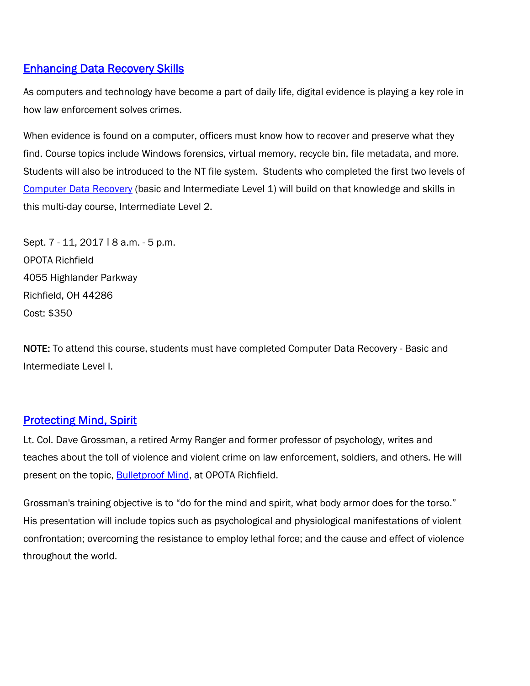#### [Enhancing Data Recovery Skills](http://www.ohioattorneygeneral.gov/Law-Enforcement/Ohio-Peace-Officer-Training-Academy/Course-Catalog/Course-Categories/Computer-Courses/Computer-Data-Recovery-Intermediate-Level-2)

As computers and technology have become a part of daily life, digital evidence is playing a key role in how law enforcement solves crimes.

When evidence is found on a computer, officers must know how to recover and preserve what they find. Course topics include Windows forensics, virtual memory, recycle bin, file metadata, and more. Students will also be introduced to the NT file system. Students who completed the first two levels of [Computer Data Recovery](http://www.ohioattorneygeneral.gov/Law-Enforcement/Ohio-Peace-Officer-Training-Academy/Course-Catalog/Course-Categories/Computer-Courses/Computer-Data-Recovery-Intermediate-Level-2) (basic and Intermediate Level 1) will build on that knowledge and skills in this multi-day course, Intermediate Level 2.

Sept. 7 - 11, 2017 | 8 a.m. - 5 p.m. OPOTA Richfield 4055 Highlander Parkway Richfield, OH 44286 Cost: \$350

NOTE: To attend this course, students must have completed Computer Data Recovery - Basic and Intermediate Level I.

## **Protecting Mind, Spirit**

Lt. Col. Dave Grossman, a retired Army Ranger and former professor of psychology, writes and teaches about the toll of violence and violent crime on law enforcement, soldiers, and others. He will present on the topic, **Bulletproof Mind**, at OPOTA Richfield.

Grossman's training objective is to "do for the mind and spirit, what body armor does for the torso." His presentation will include topics such as psychological and physiological manifestations of violent confrontation; overcoming the resistance to employ lethal force; and the cause and effect of violence throughout the world.